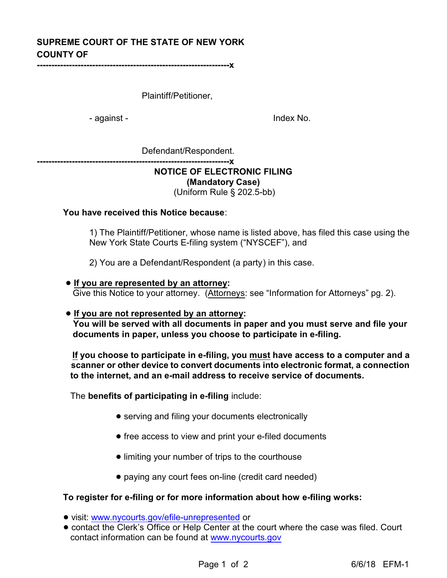# **SUPREME COURT OF THE STATE OF NEW YORK COUNTY OF**

**------------------------------------------------------------------x**

Plaintiff/Petitioner,

- against - Index No.

Defendant/Respondent.

**------------------------------------------------------------------x**

## **NOTICE OF ELECTRONIC FILING**

**(Mandatory Case)**

(Uniform Rule § 202.5-bb)

**You have received this Notice because**:

1) The Plaintiff/Petitioner, whose name is listed above, has filed this case using the New York State Courts E-filing system ("NYSCEF"), and

2) You are a Defendant/Respondent (a party) in this case.

 ! **If you are represented by an attorney:** Give this Notice to your attorney. (Attorneys: see "Information for Attorneys" pg. 2).

#### ! **If you are not represented by an attorney: You will be served with all documents in paper and you must serve and file your documents in paper, unless you choose to participate in e-filing.**

**If you choose to participate in e-filing, you must have access to a computer and a scanner or other device to convert documents into electronic format, a connection to the internet, and an e-mail address to receive service of documents.**

The **benefits of participating in e-filing** include:

- serving and filing your documents electronically
- free access to view and print your e-filed documents
- limiting your number of trips to the courthouse
- paying any court fees on-line (credit card needed)

## **To register for e-filing or for more information about how e-filing works:**

- ! visit: [www.nycourts.gov/efile-unrepresented](http://www.nycourts.gov/efile-unrepresented) or
- ! contact the Clerk's Office or Help Center at the court where the case was filed. Court contact information can be found at [www.nycourts.gov](http://www.nycourts.gov)